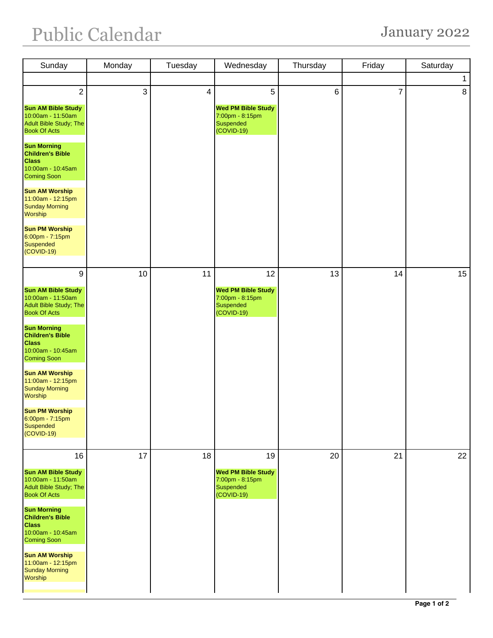## Public Calendar January 2022

| Sunday                                                                                                                                                                                                                                                                                                                                                                                             | Monday | Tuesday        | Wednesday                                                                       | Thursday       | Friday         | Saturday     |
|----------------------------------------------------------------------------------------------------------------------------------------------------------------------------------------------------------------------------------------------------------------------------------------------------------------------------------------------------------------------------------------------------|--------|----------------|---------------------------------------------------------------------------------|----------------|----------------|--------------|
|                                                                                                                                                                                                                                                                                                                                                                                                    |        |                |                                                                                 |                |                | $\mathbf{1}$ |
| $\overline{2}$<br><b>Sun AM Bible Study</b><br>10:00am - 11:50am<br>Adult Bible Study; The<br><b>Book Of Acts</b><br><b>Sun Morning</b><br><b>Children's Bible</b><br><b>Class</b><br>10:00am - 10:45am<br><b>Coming Soon</b><br><b>Sun AM Worship</b><br>11:00am - 12:15pm<br><b>Sunday Morning</b><br>Worship<br><b>Sun PM Worship</b><br>$6:00$ pm - 7:15pm<br><b>Suspended</b><br>$(COVID-19)$ | 3      | $\overline{4}$ | 5<br><b>Wed PM Bible Study</b><br>7:00pm - 8:15pm<br>Suspended<br>(COVID-19)    | $6\phantom{1}$ | $\overline{7}$ | 8            |
| 9<br><b>Sun AM Bible Study</b><br>10:00am - 11:50am<br>Adult Bible Study; The<br><b>Book Of Acts</b><br><b>Sun Morning</b><br><b>Children's Bible</b><br><b>Class</b><br>10:00am - 10:45am<br><b>Coming Soon</b><br><b>Sun AM Worship</b><br>11:00am - 12:15pm<br><b>Sunday Morning</b><br>Worship<br><b>Sun PM Worship</b><br>$6:00$ pm - 7:15pm<br><b>Suspended</b><br>$(COVID-19)$              | 10     | 11             | 12<br><b>Wed PM Bible Study</b><br>7:00pm - 8:15pm<br>Suspended<br>(COVID-19)   | 13             | 14             | 15           |
| 16<br><b>Sun AM Bible Study</b><br>10:00am - 11:50am<br>Adult Bible Study; The<br><b>Book Of Acts</b><br><b>Sun Morning</b><br><b>Children's Bible</b><br><b>Class</b><br>10:00am - 10:45am<br><b>Coming Soon</b><br><b>Sun AM Worship</b><br>11:00am - 12:15pm<br><b>Sunday Morning</b><br>Worship                                                                                                | 17     | 18             | 19<br><b>Wed PM Bible Study</b><br>7:00pm - 8:15pm<br>Suspended<br>$(COVID-19)$ | 20             | 21             | 22           |